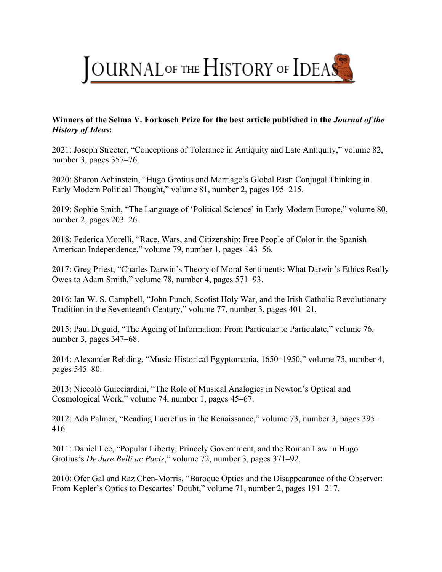

## **Winners of the Selma V. Forkosch Prize for the best article published in the** *Journal of the History of Ideas***:**

2021: Joseph Streeter, "Conceptions of Tolerance in Antiquity and Late Antiquity," volume 82, number 3, pages 357–76.

2020: Sharon Achinstein, "Hugo Grotius and Marriage's Global Past: Conjugal Thinking in Early Modern Political Thought," volume 81, number 2, pages 195–215.

2019: Sophie Smith, "The Language of 'Political Science' in Early Modern Europe," volume 80, number 2, pages 203–26.

2018: Federica Morelli, "Race, Wars, and Citizenship: Free People of Color in the Spanish American Independence," volume 79, number 1, pages 143–56.

2017: Greg Priest, "Charles Darwin's Theory of Moral Sentiments: What Darwin's Ethics Really Owes to Adam Smith," volume 78, number 4, pages 571–93.

2016: Ian W. S. Campbell, "John Punch, Scotist Holy War, and the Irish Catholic Revolutionary Tradition in the Seventeenth Century," volume 77, number 3, pages 401–21.

2015: Paul Duguid, "The Ageing of Information: From Particular to Particulate," volume 76, number 3, pages 347–68.

2014: Alexander Rehding, "Music-Historical Egyptomania, 1650–1950," volume 75, number 4, pages 545–80.

2013: Niccolò Guicciardini, "The Role of Musical Analogies in Newton's Optical and Cosmological Work," volume 74, number 1, pages 45–67.

2012: Ada Palmer, "Reading Lucretius in the Renaissance," volume 73, number 3, pages 395– 416.

2011: Daniel Lee, "Popular Liberty, Princely Government, and the Roman Law in Hugo Grotius's *De Jure Belli ac Pacis*," volume 72, number 3, pages 371–92.

2010: Ofer Gal and Raz Chen-Morris, "Baroque Optics and the Disappearance of the Observer: From Kepler's Optics to Descartes' Doubt," volume 71, number 2, pages 191–217.